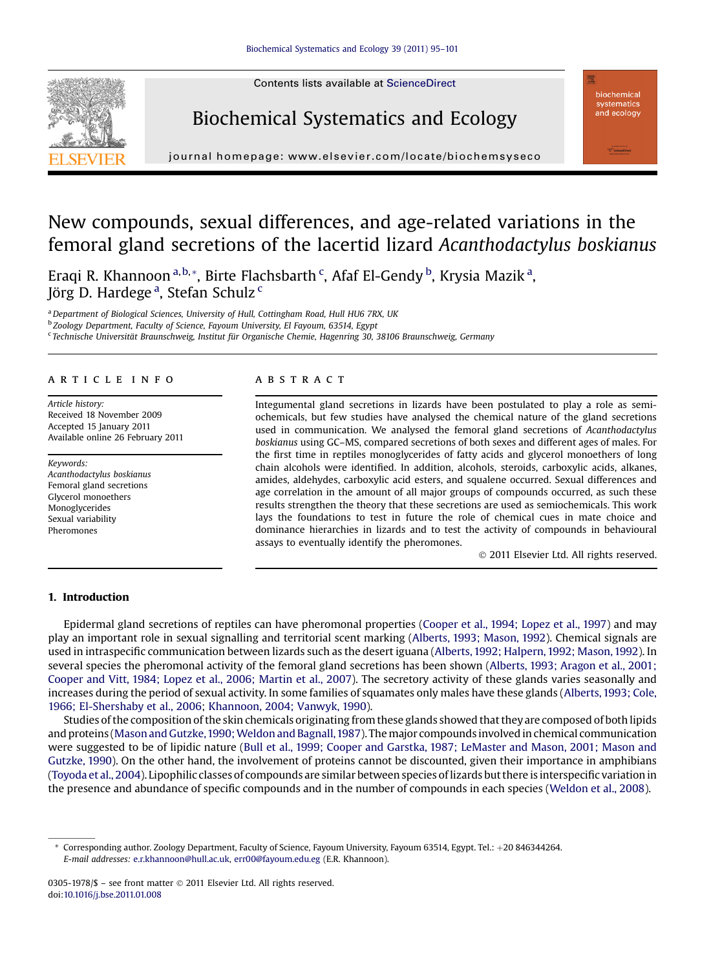





journal homepage: www.elsevier.com/locate/biochems/locate/biochems/locate/biochems/locate/biochems/locate/biochems/locate/biochems/locate/biochems/locate/biochems/locate/biochems/locate/biochems/locate/biochems/locate/bio

# New compounds, sexual differences, and age-related variations in the femoral gland secretions of the lacertid lizard Acanthodactylus boskianus

Eraqi R. Khannoon <sup>a,b,</sup>\*, Birte Flachsbarth <sup>c</sup>, Afaf El-Gendy <sup>b</sup>, Krysia Mazik <sup>a</sup>, Jörg D. Hardege <sup>a</sup>, Stefan Schulz <sup>c</sup>

<sup>a</sup> Department of Biological Sciences, University of Hull, Cottingham Road, Hull HU6 7RX, UK

<sup>b</sup> Zoology Department, Faculty of Science, Fayoum University, El Fayoum, 63514, Egypt

<sup>c</sup> Technische Universität Braunschweig, Institut für Organische Chemie, Hagenring 30, 38106 Braunschweig, Germany

## article info

Article history: Received 18 November 2009 Accepted 15 January 2011 Available online 26 February 2011

Keywords: Acanthodactylus boskianus Femoral gland secretions Glycerol monoethers Monoglycerides Sexual variability Pheromones

## **ABSTRACT**

Integumental gland secretions in lizards have been postulated to play a role as semiochemicals, but few studies have analysed the chemical nature of the gland secretions used in communication. We analysed the femoral gland secretions of Acanthodactylus boskianus using GC–MS, compared secretions of both sexes and different ages of males. For the first time in reptiles monoglycerides of fatty acids and glycerol monoethers of long chain alcohols were identified. In addition, alcohols, steroids, carboxylic acids, alkanes, amides, aldehydes, carboxylic acid esters, and squalene occurred. Sexual differences and age correlation in the amount of all major groups of compounds occurred, as such these results strengthen the theory that these secretions are used as semiochemicals. This work lays the foundations to test in future the role of chemical cues in mate choice and dominance hierarchies in lizards and to test the activity of compounds in behavioural assays to eventually identify the pheromones.

2011 Elsevier Ltd. All rights reserved.

#### 1. Introduction

Epidermal gland secretions of reptiles can have pheromonal properties [\(Cooper et al., 1994; Lopez et al., 1997\)](#page-6-0) and may play an important role in sexual signalling and territorial scent marking ([Alberts, 1993; Mason, 1992](#page-6-0)). Chemical signals are used in intraspecific communication between lizards such as the desert iguana [\(Alberts, 1992; Halpern, 1992; Mason, 1992\)](#page-6-0). In several species the pheromonal activity of the femoral gland secretions has been shown [\(Alberts, 1993; Aragon et al., 2001;](#page-6-0) [Cooper and Vitt, 1984; Lopez et al., 2006; Martin et al., 2007](#page-6-0)). The secretory activity of these glands varies seasonally and increases during the period of sexual activity. In some families of squamates only males have these glands ([Alberts, 1993; Cole,](#page-6-0) [1966; El-Shershaby et al., 2006](#page-6-0); [Khannoon, 2004; Vanwyk, 1990\)](#page-6-0).

Studies of the composition of the skin chemicals originating from these glands showed that they are composed of both lipids and proteins (Mason and Gutzke, 1990; Weldon and Bagnall, 1987). The major compounds involved in chemical communication were suggested to be of lipidic nature ([Bull et al., 1999; Cooper and Garstka, 1987; LeMaster and Mason, 2001; Mason and](#page-6-0) [Gutzke, 1990\)](#page-6-0). On the other hand, the involvement of proteins cannot be discounted, given their importance in amphibians ([Toyoda et al., 2004\)](#page-6-0). Lipophilic classes of compounds are similar between species of lizards but there is interspecific variation in the presence and abundance of specific compounds and in the number of compounds in each species ([Weldon et al., 2008\)](#page-6-0).

Corresponding author. Zoology Department, Faculty of Science, Fayoum University, Fayoum 63514, Egypt. Tel.: +20 846344264. E-mail addresses: [e.r.khannoon@hull.ac.uk,](mailto:e.r.khannoon@hull.ac.uk) [err00@fayoum.edu.eg](mailto:err00@fayoum.edu.eg) (E.R. Khannoon).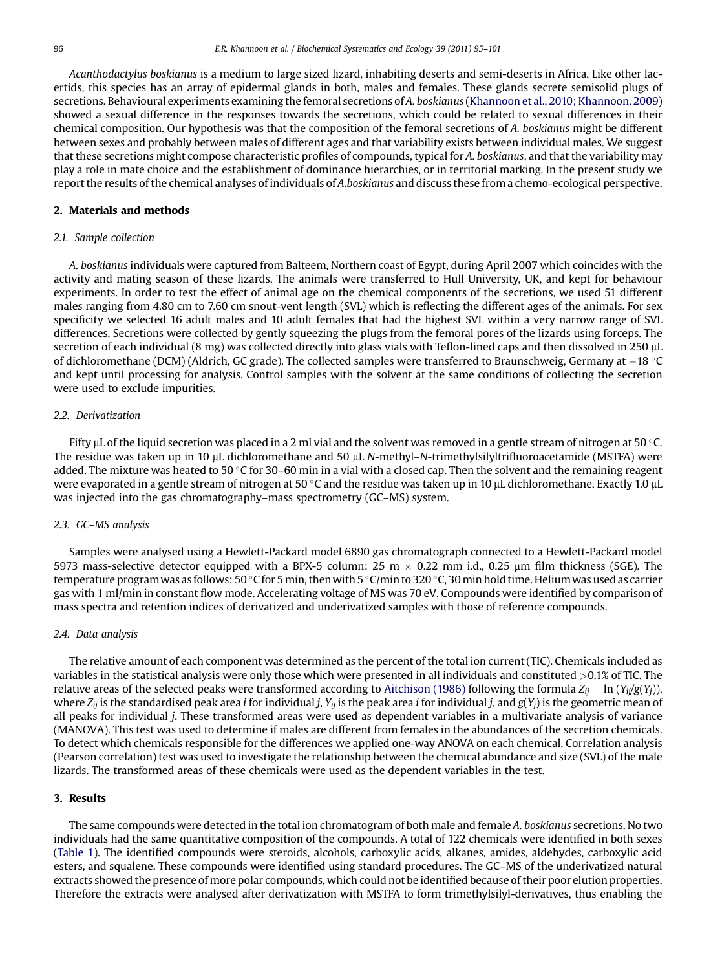Acanthodactylus boskianus is a medium to large sized lizard, inhabiting deserts and semi-deserts in Africa. Like other lacertids, this species has an array of epidermal glands in both, males and females. These glands secrete semisolid plugs of secretions. Behavioural experiments examining the femoral secretions of A. boskianus ([Khannoon et al., 2010; Khannoon, 2009](#page-6-0)) showed a sexual difference in the responses towards the secretions, which could be related to sexual differences in their chemical composition. Our hypothesis was that the composition of the femoral secretions of A. boskianus might be different between sexes and probably between males of different ages and that variability exists between individual males. We suggest that these secretions might compose characteristic profiles of compounds, typical for A. boskianus, and that the variability may play a role in mate choice and the establishment of dominance hierarchies, or in territorial marking. In the present study we report the results of the chemical analyses of individuals of A.boskianus and discuss these from a chemo-ecological perspective.

#### 2. Materials and methods

#### 2.1. Sample collection

A. boskianus individuals were captured from Balteem, Northern coast of Egypt, during April 2007 which coincides with the activity and mating season of these lizards. The animals were transferred to Hull University, UK, and kept for behaviour experiments. In order to test the effect of animal age on the chemical components of the secretions, we used 51 different males ranging from 4.80 cm to 7.60 cm snout-vent length (SVL) which is reflecting the different ages of the animals. For sex specificity we selected 16 adult males and 10 adult females that had the highest SVL within a very narrow range of SVL differences. Secretions were collected by gently squeezing the plugs from the femoral pores of the lizards using forceps. The secretion of each individual (8 mg) was collected directly into glass vials with Teflon-lined caps and then dissolved in 250 µL of dichloromethane (DCM) (Aldrich, GC grade). The collected samples were transferred to Braunschweig, Germany at -18 C and kept until processing for analysis. Control samples with the solvent at the same conditions of collecting the secretion were used to exclude impurities.

#### 2.2. Derivatization

Fifty µL of the liquid secretion was placed in a 2 ml vial and the solvent was removed in a gentle stream of nitrogen at 50 °C. The residue was taken up in 10 µL dichloromethane and 50 µL N-methyl-N-trimethylsilyltrifluoroacetamide (MSTFA) were added. The mixture was heated to 50 °C for 30–60 min in a vial with a closed cap. Then the solvent and the remaining reagent were evaporated in a gentle stream of nitrogen at 50 °C and the residue was taken up in 10  $\mu$ L dichloromethane. Exactly 1.0  $\mu$ L was injected into the gas chromatography–mass spectrometry (GC–MS) system.

#### 2.3. GC–MS analysis

Samples were analysed using a Hewlett-Packard model 6890 gas chromatograph connected to a Hewlett-Packard model 5973 mass-selective detector equipped with a BPX-5 column: 25 m  $\times$  0.22 mm i.d., 0.25 µm film thickness (SGE). The temperature program was as follows: 50 °C for 5 min, then with 5 °C/min to 320 °C, 30 min hold time. Helium was used as carrier gas with 1 ml/min in constant flow mode. Accelerating voltage of MS was 70 eV. Compounds were identified by comparison of mass spectra and retention indices of derivatized and underivatized samples with those of reference compounds.

#### 2.4. Data analysis

The relative amount of each component was determined as the percent of the total ion current (TIC). Chemicals included as variables in the statistical analysis were only those which were presented in all individuals and constituted >0.1% of TIC. The relative areas of the selected peaks were transformed according to [Aitchison \(1986\)](#page-6-0) following the formula  $Z_{ij} = \ln(Y_{ij}/g(Y_j))$ , where  $Z_{ij}$  is the standardised peak area *i* for individual j,  $Y_{ij}$  is the peak area *i* for individual j, and  $g(Y_j)$  is the geometric mean of all peaks for individual j. These transformed areas were used as dependent variables in a multivariate analysis of variance (MANOVA). This test was used to determine if males are different from females in the abundances of the secretion chemicals. To detect which chemicals responsible for the differences we applied one-way ANOVA on each chemical. Correlation analysis (Pearson correlation) test was used to investigate the relationship between the chemical abundance and size (SVL) of the male lizards. The transformed areas of these chemicals were used as the dependent variables in the test.

#### 3. Results

The same compounds were detected in the total ion chromatogram of both male and female A. boskianus secretions. No two individuals had the same quantitative composition of the compounds. A total of 122 chemicals were identified in both sexes [\(Table 1\)](#page-2-0). The identified compounds were steroids, alcohols, carboxylic acids, alkanes, amides, aldehydes, carboxylic acid esters, and squalene. These compounds were identified using standard procedures. The GC–MS of the underivatized natural extracts showed the presence of more polar compounds, which could not be identified because of their poor elution properties. Therefore the extracts were analysed after derivatization with MSTFA to form trimethylsilyl-derivatives, thus enabling the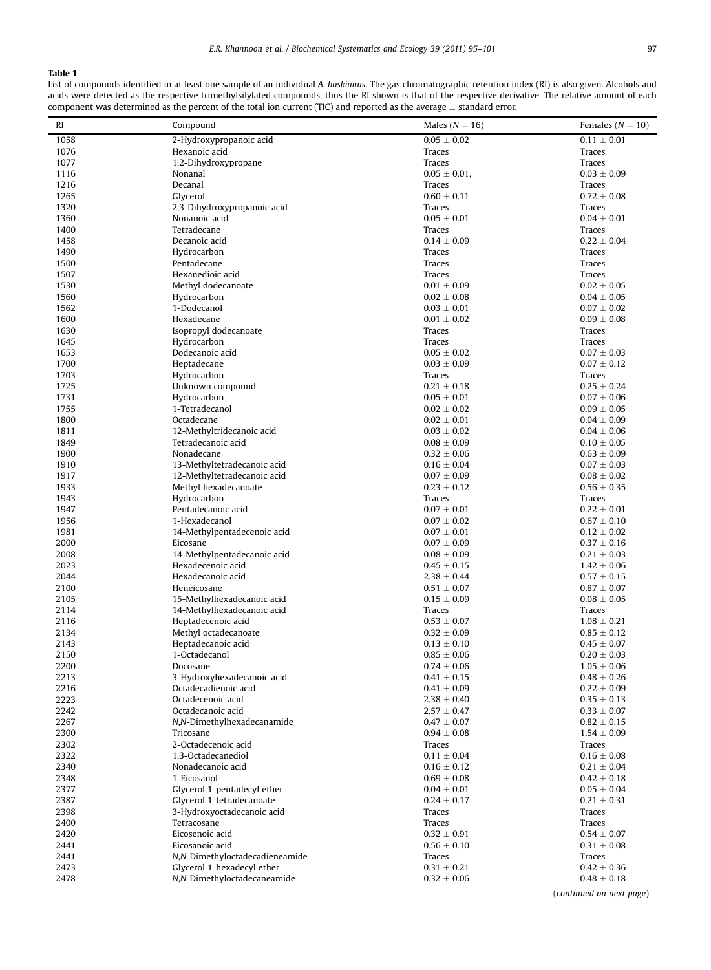# <span id="page-2-0"></span>Table 1

List of compounds identified in at least one sample of an individual A. boskianus. The gas chromatographic retention index (RI) is also given. Alcohols and acids were detected as the respective trimethylsilylated compounds, thus the RI shown is that of the respective derivative. The relative amount of each acids were detected as the respective trimethylsilylated compounds, th component was determined as the percent of the total ion current (TIC) and reported as the average  $\pm$  standard error.

| RI           | Compound                                                | Males ( $N = 16$ )                 | Females ( $N = 10$ )               |
|--------------|---------------------------------------------------------|------------------------------------|------------------------------------|
| 1058         | 2-Hydroxypropanoic acid                                 | $0.05\,\pm\,0.02$                  | $0.11 \pm 0.01$                    |
| 1076         | Hexanoic acid                                           | Traces                             | Traces                             |
| 1077         | 1,2-Dihydroxypropane                                    | Traces                             | Traces                             |
| 1116         | Nonanal                                                 | $0.05 \pm 0.01$ ,                  | $0.03 \pm 0.09$                    |
| 1216         | Decanal                                                 | <b>Traces</b>                      | Traces                             |
| 1265         | Glycerol                                                | $0.60 \pm 0.11$                    | $0.72 \pm 0.08$                    |
| 1320         | 2,3-Dihydroxypropanoic acid                             | <b>Traces</b>                      | Traces                             |
| 1360         | Nonanoic acid                                           | $0.05 \pm 0.01$                    | $0.04 \pm 0.01$                    |
| 1400         | Tetradecane                                             | <b>Traces</b>                      | Traces                             |
| 1458         | Decanoic acid                                           | $0.14 \pm 0.09$                    | $0.22 \pm 0.04$                    |
| 1490         | Hydrocarbon                                             | Traces                             | Traces                             |
| 1500         | Pentadecane                                             | Traces                             | Traces                             |
| 1507         | Hexanedioic acid                                        | Traces                             | Traces                             |
| 1530<br>1560 | Methyl dodecanoate<br>Hydrocarbon                       | $0.01 \pm 0.09$<br>$0.02 \pm 0.08$ | $0.02 \pm 0.05$<br>$0.04 \pm 0.05$ |
| 1562         | 1-Dodecanol                                             | $0.03 \pm 0.01$                    | $0.07 \pm 0.02$                    |
| 1600         | Hexadecane                                              | $0.01 \pm 0.02$                    | $0.09 \pm 0.08$                    |
| 1630         | Isopropyl dodecanoate                                   | Traces                             | Traces                             |
| 1645         | Hydrocarbon                                             | Traces                             | Traces                             |
| 1653         | Dodecanoic acid                                         | $0.05 \pm 0.02$                    | $0.07 \pm 0.03$                    |
| 1700         | Heptadecane                                             | $0.03 \pm 0.09$                    | $0.07 \pm 0.12$                    |
| 1703         | Hydrocarbon                                             | Traces                             | Traces                             |
| 1725         | Unknown compound                                        | $0.21 \pm 0.18$                    | $0.25 \pm 0.24$                    |
| 1731         | Hydrocarbon                                             | $0.05 \pm 0.01$                    | $0.07 \pm 0.06$                    |
| 1755         | 1-Tetradecanol                                          | $0.02 \pm 0.02$                    | $0.09 \pm 0.05$                    |
| 1800         | Octadecane                                              | $0.02 \pm 0.01$                    | $0.04 \pm 0.09$                    |
| 1811         | 12-Methyltridecanoic acid                               | $0.03 \pm 0.02$                    | $0.04 \pm 0.06$                    |
| 1849         | Tetradecanoic acid                                      | $0.08 \pm 0.09$                    | $0.10 \pm 0.05$                    |
| 1900         | Nonadecane                                              | $0.32 \pm 0.06$                    | $0.63 \pm 0.09$                    |
| 1910         | 13-Methyltetradecanoic acid                             | $0.16 \pm 0.04$                    | $0.07 \pm 0.03$                    |
| 1917         | 12-Methyltetradecanoic acid                             | $0.07 \pm 0.09$                    | $0.08 \pm 0.02$                    |
| 1933         | Methyl hexadecanoate                                    | $0.23 \pm 0.12$                    | $0.56 \pm 0.35$                    |
| 1943         | Hydrocarbon                                             | Traces                             | Traces                             |
| 1947         | Pentadecanoic acid                                      | $0.07\,\pm\,0.01$                  | $0.22 \pm 0.01$                    |
| 1956         | 1-Hexadecanol                                           | $0.07 \pm 0.02$                    | $0.67 \pm 0.10$                    |
| 1981         | 14-Methylpentadecenoic acid                             | $0.07 \pm 0.01$                    | $0.12 \pm 0.02$                    |
| 2000<br>2008 | Eicosane<br>14-Methylpentadecanoic acid                 | $0.07 \pm 0.09$                    | $0.37 \pm 0.16$                    |
| 2023         | Hexadecenoic acid                                       | $0.08 \pm 0.09$<br>$0.45 \pm 0.15$ | $0.21 \pm 0.03$<br>$1.42 \pm 0.06$ |
| 2044         | Hexadecanoic acid                                       | $2.38 \pm 0.44$                    | $0.57 \pm 0.15$                    |
| 2100         | Heneicosane                                             | $0.51 \pm 0.07$                    | $0.87 \pm 0.07$                    |
| 2105         | 15-Methylhexadecanoic acid                              | $0.15 \pm 0.09$                    | $0.08 \pm 0.05$                    |
| 2114         | 14-Methylhexadecanoic acid                              | Traces                             | Traces                             |
| 2116         | Heptadecenoic acid                                      | $0.53 \pm 0.07$                    | $1.08 \pm 0.21$                    |
| 2134         | Methyl octadecanoate                                    | $0.32 \pm 0.09$                    | $0.85 \pm 0.12$                    |
| 2143         | Heptadecanoic acid                                      | $0.13 \pm 0.10$                    | $0.45 \pm 0.07$                    |
| 2150         | 1-Octadecanol                                           | $0.85 \pm 0.06$                    | $0.20 \pm 0.03$                    |
| 2200         | Docosane                                                | $0.74 \pm 0.06$                    | $1.05 \pm 0.06$                    |
| 2213         | 3-Hydroxyhexadecanoic acid                              | $0.41 \pm 0.15$                    | $0.48 \pm 0.26$                    |
| 2216         | Octadecadienoic acid                                    | $0.41 \pm 0.09$                    | $0.22 \pm 0.09$                    |
| 2223         | Octadecenoic acid                                       | $2.38 \pm 0.40$                    | $0.35 \pm 0.13$                    |
| 2242         | Octadecanoic acid                                       | $2.57 \pm 0.47$                    | $0.33 \pm 0.07$                    |
| 2267         | N,N-Dimethylhexadecanamide                              | $0.47 \pm 0.07$                    | $0.82 \pm 0.15$                    |
| 2300         | Tricosane                                               | $0.94 \pm 0.08$                    | $1.54 \pm 0.09$                    |
| 2302         | 2-Octadecenoic acid                                     | Traces                             | Traces                             |
| 2322         | 1,3-Octadecanediol                                      | $0.11 \pm 0.04$                    | $0.16 \pm 0.08$                    |
| 2340         | Nonadecanoic acid                                       | $0.16 \pm 0.12$                    | $0.21 \pm 0.04$                    |
| 2348         | 1-Eicosanol<br>Glycerol 1-pentadecyl ether              | $0.69 \pm 0.08$                    | $0.42 \pm 0.18$                    |
| 2377         |                                                         | $0.04 \pm 0.01$<br>$0.24 \pm 0.17$ | $0.05 \pm 0.04$                    |
| 2387<br>2398 | Glycerol 1-tetradecanoate<br>3-Hydroxyoctadecanoic acid | Traces                             | $0.21 \pm 0.31$                    |
| 2400         | Tetracosane                                             | Traces                             | Traces<br>Traces                   |
| 2420         | Eicosenoic acid                                         | $0.32 \pm 0.91$                    | $0.54 \pm 0.07$                    |
| 2441         | Eicosanoic acid                                         | $0.56 \pm 0.10$                    | $0.31 \pm 0.08$                    |
| 2441         | N,N-Dimethyloctadecadieneamide                          | Traces                             | Traces                             |
| 2473         | Glycerol 1-hexadecyl ether                              | $0.31 \pm 0.21$                    | $0.42 \pm 0.36$                    |
| 2478         | N,N-Dimethyloctadecaneamide                             | $0.32 \pm 0.06$                    | $0.48 \pm 0.18$                    |
|              |                                                         |                                    |                                    |

(continued on next page)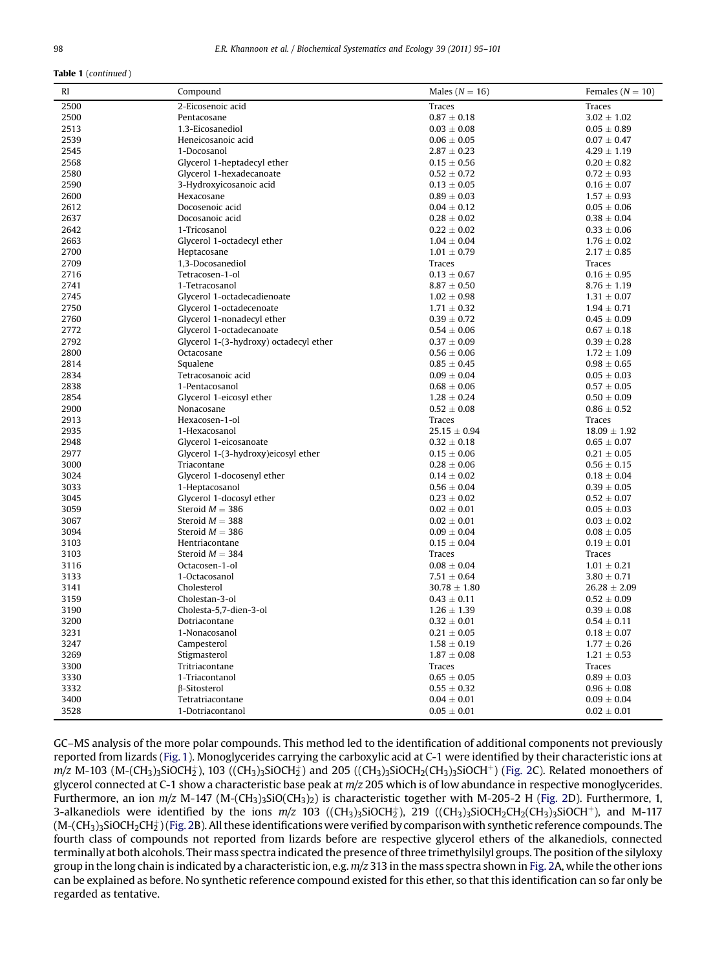#### Table 1 (continued )

| RI           | Compound                                           | Males ( $N = 16$ )                 | Females ( $N = 10$ )               |
|--------------|----------------------------------------------------|------------------------------------|------------------------------------|
| 2500         | 2-Eicosenoic acid                                  | Traces                             | Traces                             |
| 2500         | Pentacosane                                        | $0.87 \pm 0.18$                    | $3.02 \pm 1.02$                    |
| 2513         | 1.3-Eicosanediol                                   | $0.03 \pm 0.08$                    | $0.05 \pm 0.89$                    |
| 2539         | Heneicosanoic acid                                 | $0.06 \pm 0.05$                    | $0.07 \pm 0.47$                    |
| 2545         | 1-Docosanol                                        | $2.87 \pm 0.23$                    | $4.29 \pm 1.19$                    |
| 2568         | Glycerol 1-heptadecyl ether                        | $0.15 \pm 0.56$                    | $0.20 \pm 0.82$                    |
| 2580         | Glycerol 1-hexadecanoate                           | $0.52 \pm 0.72$                    | $0.72 \pm 0.93$                    |
| 2590         | 3-Hydroxyicosanoic acid                            | $0.13 \pm 0.05$                    | $0.16 \pm 0.07$                    |
| 2600         | Hexacosane                                         | $0.89 \pm 0.03$                    | $1.57 \pm 0.93$                    |
| 2612         | Docosenoic acid                                    | $0.04 \pm 0.12$                    | $0.05 \pm 0.06$                    |
| 2637         | Docosanoic acid                                    | $0.28 \pm 0.02$                    | $0.38 \pm 0.04$                    |
| 2642         | 1-Tricosanol                                       | $0.22 \pm 0.02$                    | $0.33 \pm 0.06$                    |
| 2663         | Glycerol 1-octadecyl ether                         | $1.04 \pm 0.04$                    | $1.76 \pm 0.02$                    |
| 2700         | Heptacosane                                        | $1.01 \pm 0.79$                    | $2.17 \pm 0.85$                    |
| 2709         | 1,3-Docosanediol                                   | Traces                             | Traces                             |
| 2716         | Tetracosen-1-ol                                    | $0.13 \pm 0.67$                    | $0.16 \pm 0.95$                    |
| 2741         | 1-Tetracosanol                                     | $8.87 \pm 0.50$                    | $8.76 \pm 1.19$                    |
| 2745         | Glycerol 1-octadecadienoate                        | $1.02 \pm 0.98$                    | $1.31 \pm 0.07$                    |
| 2750         | Glycerol 1-octadecenoate                           | $1.71 \pm 0.32$                    | $1.94 \pm 0.71$                    |
| 2760         | Glycerol 1-nonadecyl ether                         | $0.39 \pm 0.72$                    | $0.45 \pm 0.09$                    |
| 2772         | Glycerol 1-octadecanoate                           | $0.54 \pm 0.06$                    | $0.67 \pm 0.18$                    |
| 2792         | Glycerol 1-(3-hydroxy) octadecyl ether             | $0.37 \pm 0.09$                    | $0.39 \pm 0.28$                    |
| 2800         | Octacosane                                         | $0.56 \pm 0.06$                    | $1.72 \pm 1.09$                    |
| 2814         | Squalene                                           | $0.85 \pm 0.45$                    | $0.98 \pm 0.65$                    |
| 2834         | Tetracosanoic acid                                 | $0.09 \pm 0.04$                    | $0.05 \pm 0.03$                    |
| 2838         | 1-Pentacosanol                                     | $0.68 \pm 0.06$                    | $0.57 \pm 0.05$                    |
| 2854         | Glycerol 1-eicosyl ether                           | $1.28 \pm 0.24$                    | $0.50 \pm 0.09$                    |
| 2900         | Nonacosane                                         | $0.52 \pm 0.08$                    | $0.86 \pm 0.52$                    |
| 2913         | Hexacosen-1-ol                                     | Traces                             | Traces                             |
| 2935         | 1-Hexacosanol                                      | $25.15 \pm 0.94$                   | $18.09 \pm 1.92$                   |
| 2948<br>2977 | Glycerol 1-eicosanoate                             | $0.32 \pm 0.18$                    | $0.65 \pm 0.07$                    |
| 3000         | Glycerol 1-(3-hydroxy)eicosyl ether<br>Triacontane | $0.15 \pm 0.06$<br>$0.28 \pm 0.06$ | $0.21 \pm 0.05$<br>$0.56 \pm 0.15$ |
| 3024         | Glycerol 1-docosenyl ether                         | $0.14 \pm 0.02$                    | $0.18 \pm 0.04$                    |
| 3033         | 1-Heptacosanol                                     | $0.56 \pm 0.04$                    | $0.39 \pm 0.05$                    |
| 3045         | Glycerol 1-docosyl ether                           | $0.23 \pm 0.02$                    | $0.52 \pm 0.07$                    |
| 3059         | Steroid $M = 386$                                  | $0.02 \pm 0.01$                    | $0.05 \pm 0.03$                    |
| 3067         | Steroid $M = 388$                                  | $0.02 \pm 0.01$                    | $0.03 \pm 0.02$                    |
| 3094         | Steroid $M = 386$                                  | $0.09 \pm 0.04$                    | $0.08 \pm 0.05$                    |
| 3103         | Hentriacontane                                     | $0.15 \pm 0.04$                    | $0.19 \pm 0.01$                    |
| 3103         | Steroid $M = 384$                                  | Traces                             | Traces                             |
| 3116         | Octacosen-1-ol                                     | $0.08 \pm 0.04$                    | $1.01 \pm 0.21$                    |
| 3133         | 1-Octacosanol                                      | $7.51 \pm 0.64$                    | $3.80 \pm 0.71$                    |
| 3141         | Cholesterol                                        | $30.78 \pm 1.80$                   | $26.28 \pm 2.09$                   |
| 3159         | Cholestan-3-ol                                     | $0.43 \pm 0.11$                    | $0.52 \pm 0.09$                    |
| 3190         | Cholesta-5,7-dien-3-ol                             | $1.26 \pm 1.39$                    | $0.39 \pm 0.08$                    |
| 3200         | Dotriacontane                                      | $0.32 \pm 0.01$                    | $0.54 \pm 0.11$                    |
| 3231         | 1-Nonacosanol                                      | $0.21 \pm 0.05$                    | $0.18 \pm 0.07$                    |
| 3247         | Campesterol                                        | $1.58 \pm 0.19$                    | $1.77 \pm 0.26$                    |
| 3269         | Stigmasterol                                       | $1.87 \pm 0.08$                    | $1.21 \pm 0.53$                    |
| 3300         | Tritriacontane                                     | Traces                             | Traces                             |
| 3330         | 1-Triacontanol                                     | $0.65 \pm 0.05$                    | $0.89 \pm 0.03$                    |
| 3332         | B-Sitosterol                                       | $0.55 \pm 0.32$                    | $0.96 \pm 0.08$                    |
| 3400         | Tetratriacontane                                   | $0.04 \pm 0.01$                    | $0.09 \pm 0.04$                    |
| 3528         | 1-Dotriacontanol                                   | $0.05 \pm 0.01$                    | $0.02 \pm 0.01$                    |

GC–MS analysis of the more polar compounds. This method led to the identification of additional components not previously reported from lizards [\(Fig. 1](#page-4-0)). Monoglycerides carrying the carboxylic acid at C-1 were identified by their characteristic ions at  $m/z$  M-103 (M-(CH<sub>3</sub>)3SiOCH $_2^+$ ), 103 ((CH<sub>3</sub>)3SiOCH $_2^+$ ) and 205 ((CH<sub>3</sub>)3SiOCH<sub>2</sub>(CH<sub>3</sub>)3SiOCH<sup>+</sup>) [\(Fig. 2C](#page-5-0)). Related monoethers of glycerol connected at C-1 show a characteristic base peak at  $m/z$  205 which is of low abundance in respective monoglycerides. Furthermore, an ion  $m/z$  M-147 (M-(CH<sub>3</sub>)<sub>3</sub>SiO(CH<sub>3</sub>)<sub>2</sub>) is characteristic together with M-205-2 H [\(Fig. 2](#page-5-0)D). Furthermore, 1, 3-alkanediols were identified by the ions  $m/z$  103 ((CH<sub>3</sub>)<sub>3</sub>SiOCH<sup>+</sup>), 219 ((CH<sub>3</sub>)<sub>3</sub>SiOCH<sub>2</sub>CH<sub>2</sub>(CH<sub>3</sub>)<sub>3</sub>SiOCH<sup>+</sup>), and M-117 (M-(CH<sub>3</sub>)3SiOCH2CH $_2^{\pm}$ )([Fig. 2B](#page-5-0)). All these identifications were verified by comparison with synthetic reference compounds. The fourth class of compounds not reported from lizards before are respective glycerol ethers of the alkanediols, connected terminally at both alcohols. Their mass spectra indicated the presence of three trimethylsilyl groups. The position of the silyloxy group in the long chain is indicated by a characteristic ion, e.g.  $m/z$  313 in the mass spectra shown in [Fig. 2A](#page-5-0), while the other ions can be explained as before. No synthetic reference compound existed for this ether, so that this identification can so far only be regarded as tentative.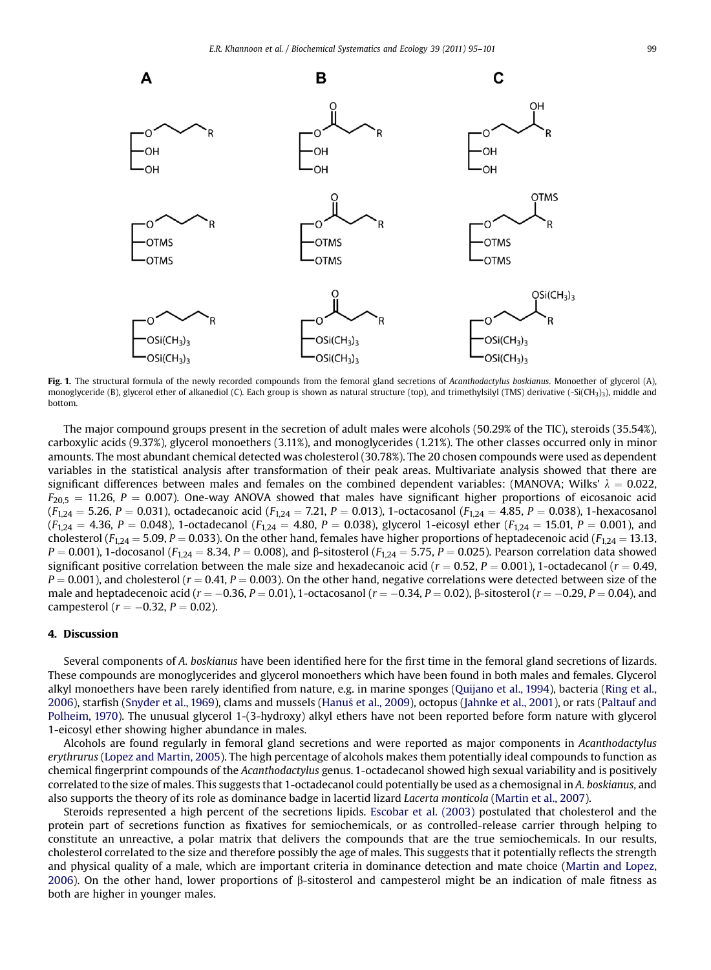<span id="page-4-0"></span>

Fig. 1. The structural formula of the newly recorded compounds from the femoral gland secretions of Acanthodactylus boskianus. Monoether of glycerol (A), monoglyceride (B), glycerol ether of alkanediol (C). Each group is shown as natural structure (top), and trimethylsilyl (TMS) derivative (-Si(CH<sub>3</sub>)<sub>3</sub>), middle and bottom.

The major compound groups present in the secretion of adult males were alcohols (50.29% of the TIC), steroids (35.54%), carboxylic acids (9.37%), glycerol monoethers (3.11%), and monoglycerides (1.21%). The other classes occurred only in minor amounts. The most abundant chemical detected was cholesterol (30.78%). The 20 chosen compounds were used as dependent variables in the statistical analysis after transformation of their peak areas. Multivariate analysis showed that there are significant differences between males and females on the combined dependent variables: (MANOVA; Wilks'  $\lambda = 0.022$ ,  $F_{20.5} = 11.26$ , P = 0.007). One-way ANOVA showed that males have significant higher proportions of eicosanoic acid  $(F_{1,24} = 5.26, P = 0.031)$ , octadecanoic acid  $(F_{1,24} = 7.21, P = 0.013)$ , 1-octacosanol  $(F_{1,24} = 4.85, P = 0.038)$ , 1-hexacosanol  $(F_{1,24} = 4.36, P = 0.048)$ , 1-octadecanol  $(F_{1,24} = 4.80, P = 0.038)$ , glycerol 1-eicosyl ether  $(F_{1,24} = 15.01, P = 0.001)$ , and cholesterol ( $F_{1,24} = 5.09$ ,  $P = 0.033$ ). On the other hand, females have higher proportions of heptadecenoic acid ( $F_{1,24} = 13.13$ ,  $P = 0.001$ ), 1-docosanol ( $F_{1,24} = 8.34$ ,  $P = 0.008$ ), and  $\beta$ -sitosterol ( $F_{1,24} = 5.75$ ,  $P = 0.025$ ). Pearson correlation data showed significant positive correlation between the male size and hexadecanoic acid ( $r = 0.52$ ,  $P = 0.001$ ), 1-octadecanol ( $r = 0.49$ ,  $P = 0.001$ ), and cholesterol ( $r = 0.41$ ,  $P = 0.003$ ). On the other hand, negative correlations were detected between size of the male and heptadecenoic acid ( $r = -0.36$ ,  $P = 0.01$ ), 1-octacosanol ( $r = -0.34$ ,  $P = 0.02$ ),  $\beta$ -sitosterol ( $r = -0.29$ ,  $P = 0.04$ ), and campesterol ( $r = -0.32, P = 0.02$ ).

#### 4. Discussion

Several components of A. boskianus have been identified here for the first time in the femoral gland secretions of lizards. These compounds are monoglycerides and glycerol monoethers which have been found in both males and females. Glycerol alkyl monoethers have been rarely identified from nature, e.g. in marine sponges ([Quijano et al., 1994\)](#page-6-0), bacteria ([Ring et al.,](#page-6-0) [2006](#page-6-0)), starfish [\(Snyder et al., 1969](#page-6-0)), clams and mussels ([Hanu](#page-6-0)š [et al., 2009\)](#page-6-0), octopus ([Jahnke et al., 2001](#page-6-0)), or rats ([Paltauf and](#page-6-0) [Polheim, 1970](#page-6-0)). The unusual glycerol 1-(3-hydroxy) alkyl ethers have not been reported before form nature with glycerol 1-eicosyl ether showing higher abundance in males.

Alcohols are found regularly in femoral gland secretions and were reported as major components in Acanthodactylus erythrurus [\(Lopez and Martin, 2005\)](#page-6-0). The high percentage of alcohols makes them potentially ideal compounds to function as chemical fingerprint compounds of the Acanthodactylus genus. 1-octadecanol showed high sexual variability and is positively correlated to the size of males. This suggests that 1-octadecanol could potentially be used as a chemosignal in A. boskianus, and also supports the theory of its role as dominance badge in lacertid lizard Lacerta monticola [\(Martin et al., 2007](#page-6-0)).

Steroids represented a high percent of the secretions lipids. [Escobar et al. \(2003\)](#page-6-0) postulated that cholesterol and the protein part of secretions function as fixatives for semiochemicals, or as controlled-release carrier through helping to constitute an unreactive, a polar matrix that delivers the compounds that are the true semiochemicals. In our results, cholesterol correlated to the size and therefore possibly the age of males. This suggests that it potentially reflects the strength and physical quality of a male, which are important criteria in dominance detection and mate choice [\(Martin and Lopez,](#page-6-0) [2006](#page-6-0)). On the other hand, lower proportions of  $\beta$ -sitosterol and campesterol might be an indication of male fitness as both are higher in younger males.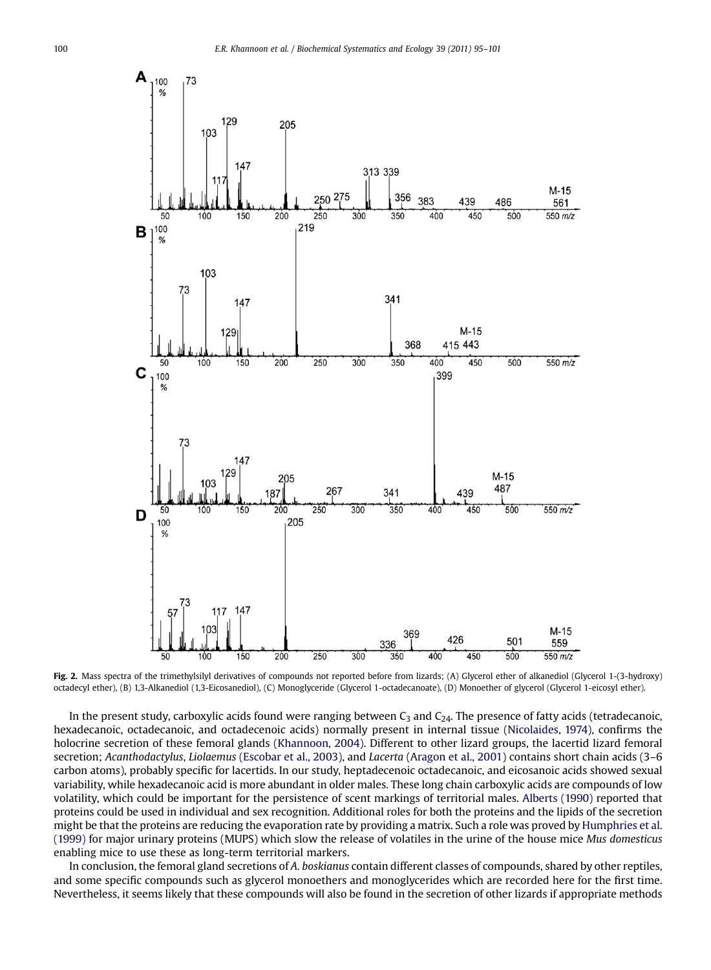<span id="page-5-0"></span>

Fig. 2. Mass spectra of the trimethylsilyl derivatives of compounds not reported before from lizards; (A) Glycerol ether of alkanediol (Glycerol 1-(3-hydroxy) octadecyl ether), (B) 1,3-Alkanediol (1,3-Eicosanediol), (C) Monoglyceride (Glycerol 1-octadecanoate), (D) Monoether of glycerol (Glycerol 1-eicosyl ether).

In the present study, carboxylic acids found were ranging between  $C_3$  and  $C_{24}$ . The presence of fatty acids (tetradecanoic, hexadecanoic, octadecanoic, and octadecenoic acids) normally present in internal tissue ([Nicolaides, 1974](#page-6-0)), confirms the holocrine secretion of these femoral glands ([Khannoon, 2004\)](#page-6-0). Different to other lizard groups, the lacertid lizard femoral secretion; Acanthodactylus, Liolaemus [\(Escobar et al., 2003](#page-6-0)), and Lacerta [\(Aragon et al., 2001\)](#page-6-0) contains short chain acids (3–6 carbon atoms), probably specific for lacertids. In our study, heptadecenoic octadecanoic, and eicosanoic acids showed sexual variability, while hexadecanoic acid is more abundant in older males. These long chain carboxylic acids are compounds of low volatility, which could be important for the persistence of scent markings of territorial males. [Alberts \(1990\)](#page-6-0) reported that proteins could be used in individual and sex recognition. Additional roles for both the proteins and the lipids of the secretion might be that the proteins are reducing the evaporation rate by providing a matrix. Such a role was proved by [Humphries et al.](#page-6-0) [\(1999\)](#page-6-0) for major urinary proteins (MUPS) which slow the release of volatiles in the urine of the house mice Mus domesticus enabling mice to use these as long-term territorial markers.

In conclusion, the femoral gland secretions of A. boskianus contain different classes of compounds, shared by other reptiles, and some specific compounds such as glycerol monoethers and monoglycerides which are recorded here for the first time. Nevertheless, it seems likely that these compounds will also be found in the secretion of other lizards if appropriate methods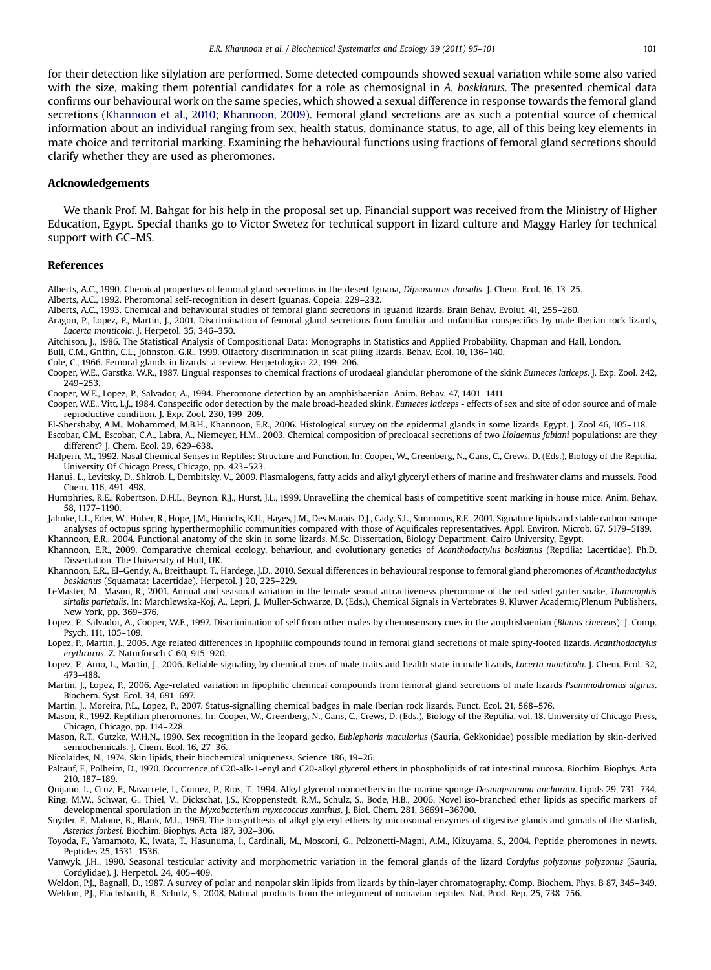<span id="page-6-0"></span>for their detection like silylation are performed. Some detected compounds showed sexual variation while some also varied with the size, making them potential candidates for a role as chemosignal in A. boskianus. The presented chemical data confirms our behavioural work on the same species, which showed a sexual difference in response towards the femoral gland secretions (Khannoon et al., 2010; Khannoon, 2009). Femoral gland secretions are as such a potential source of chemical information about an individual ranging from sex, health status, dominance status, to age, all of this being key elements in mate choice and territorial marking. Examining the behavioural functions using fractions of femoral gland secretions should clarify whether they are used as pheromones.

#### Acknowledgements

We thank Prof. M. Bahgat for his help in the proposal set up. Financial support was received from the Ministry of Higher Education, Egypt. Special thanks go to Victor Swetez for technical support in lizard culture and Maggy Harley for technical support with GC–MS.

#### References

- Alberts, A.C., 1990. Chemical properties of femoral gland secretions in the desert Iguana, Dipsosaurus dorsalis. J. Chem. Ecol. 16, 13–25.
- Alberts, A.C., 1992. Pheromonal self-recognition in desert Iguanas. Copeia, 229–232.
- Alberts, A.C., 1993. Chemical and behavioural studies of femoral gland secretions in iguanid lizards. Brain Behav. Evolut. 41, 255–260. Aragon, P., Lopez, P., Martin, J., 2001. Discrimination of femoral gland secretions from familiar and unfamiliar conspecifics by male Iberian rock-lizards,
- Lacerta monticola. J. Herpetol. 35, 346–350.
- Aitchison, J., 1986. The Statistical Analysis of Compositional Data: Monographs in Statistics and Applied Probability. Chapman and Hall, London. Bull, C.M., Griffin, C.L., Johnston, G.R., 1999. Olfactory discrimination in scat piling lizards. Behav. Ecol. 10, 136–140.
- Cole, C., 1966. Femoral glands in lizards: a review. Herpetologica 22, 199–206.
- Cooper, W.E., Garstka, W.R., 1987. Lingual responses to chemical fractions of urodaeal glandular pheromone of the skink Eumeces laticeps. J. Exp. Zool. 242, 249–253.
- Cooper, W.E., Lopez, P., Salvador, A., 1994. Pheromone detection by an amphisbaenian. Anim. Behav. 47, 1401–1411.

Cooper, W.E., Vitt, L.J., 1984. Conspecific odor detection by the male broad-headed skink, Eumeces laticeps - effects of sex and site of odor source and of male reproductive condition. J. Exp. Zool. 230, 199–209.

El-Shershaby, A.M., Mohammed, M.B.H., Khannoon, E.R., 2006. Histological survey on the epidermal glands in some lizards. Egypt. J. Zool 46, 105–118. Escobar, C.M., Escobar, C.A., Labra, A., Niemeyer, H.M., 2003. Chemical composition of precloacal secretions of two Liolaemus fabiani populations: are they different? J. Chem. Ecol. 29, 629–638.

Halpern, M., 1992. Nasal Chemical Senses in Reptiles: Structure and Function. In: Cooper, W., Greenberg, N., Gans, C., Crews, D. (Eds.), Biology of the Reptilia. University Of Chicago Press, Chicago, pp. 423–523.

Hanuš, L., Levitsky, D., Shkrob, I., Dembitsky, V., 2009. Plasmalogens, fatty acids and alkyl glyceryl ethers of marine and freshwater clams and mussels. Food Chem. 116, 491–498.

Humphries, R.E., Robertson, D.H.L., Beynon, R.J., Hurst, J.L., 1999. Unravelling the chemical basis of competitive scent marking in house mice. Anim. Behav. 58, 1177–1190.

Jahnke, L.L., Eder, W., Huber, R., Hope, J.M., Hinrichs, K.U., Hayes, J.M., Des Marais, D.J., Cady, S.L., Summons, R.E., 2001. Signature lipids and stable carbon isotope analyses of octopus spring hyperthermophilic communities compared with those of Aquificales representatives. Appl. Environ. Microb. 67, 5179–5189. Khannoon, E.R., 2004. Functional anatomy of the skin in some lizards. M.Sc. Dissertation, Biology Department, Cairo University, Egypt.

Khannoon, E.R., 2009. Comparative chemical ecology, behaviour, and evolutionary genetics of Acanthodactylus boskianus (Reptilia: Lacertidae). Ph.D. Dissertation, The University of Hull, UK.

Khannoon, E.R., El–Gendy, A., Breithaupt, T., Hardege, J.D., 2010. Sexual differences in behavioural response to femoral gland pheromones of Acanthodactylus boskianus (Squamata: Lacertidae). Herpetol. J 20, 225–229.

- LeMaster, M., Mason, R., 2001. Annual and seasonal variation in the female sexual attractiveness pheromone of the red-sided garter snake, Thamnophis sirtalis parietalis. In: Marchlewska-Koj, A., Lepri, J., Müller-Schwarze, D. (Eds.), Chemical Signals in Vertebrates 9. Kluwer Academic/Plenum Publishers, New York, pp. 369–376.
- Lopez, P., Salvador, A., Cooper, W.E., 1997. Discrimination of self from other males by chemosensory cues in the amphisbaenian (Blanus cinereus). J. Comp. Psych. 111, 105–109.
- Lopez, P., Martin, J., 2005. Age related differences in lipophilic compounds found in femoral gland secretions of male spiny-footed lizards. Acanthodactylus erythrurus. Z. Naturforsch C 60, 915–920.
- Lopez, P., Amo, L., Martin, J., 2006. Reliable signaling by chemical cues of male traits and health state in male lizards, Lacerta monticola. J. Chem. Ecol. 32, 473–488.

Martin, J., Lopez, P., 2006. Age-related variation in lipophilic chemical compounds from femoral gland secretions of male lizards Psammodromus algirus. Biochem. Syst. Ecol. 34, 691–697.

Martin, J., Moreira, P.L., Lopez, P., 2007. Status-signalling chemical badges in male Iberian rock lizards. Funct. Ecol. 21, 568–576.

Mason, R., 1992. Reptilian pheromones. In: Cooper, W., Greenberg, N., Gans, C., Crews, D. (Eds.), Biology of the Reptilia, vol. 18. University of Chicago Press, Chicago, Chicago, pp. 114–228.

Mason, R.T., Gutzke, W.H.N., 1990. Sex recognition in the leopard gecko, Eublepharis macularius (Sauria, Gekkonidae) possible mediation by skin-derived semiochemicals. J. Chem. Ecol. 16, 27-36.

Nicolaides, N., 1974. Skin lipids, their biochemical uniqueness. Science 186, 19–26.

Paltauf, F., Polheim, D., 1970. Occurrence of C20-alk-1-enyl and C20-alkyl glycerol ethers in phospholipids of rat intestinal mucosa. Biochim. Biophys. Acta 210, 187–189.

Quijano, L., Cruz, F., Navarrete, I., Gomez, P., Rios, T., 1994. Alkyl glycerol monoethers in the marine sponge Desmapsamma anchorata. Lipids 29, 731–734. Ring, M.W., Schwar, G., Thiel, V., Dickschat, J.S., Kroppenstedt, R.M., Schulz, S., Bode, H.B., 2006. Novel iso-branched ether lipids as specific markers of

developmental sporulation in the Myxobacterium myxococcus xanthus. J. Biol. Chem. 281, 36691–36700. Snyder, F., Malone, B., Blank, M.L., 1969. The biosynthesis of alkyl glyceryl ethers by microsomal enzymes of digestive glands and gonads of the starfish, Asterias forbesi. Biochim. Biophys. Acta 187, 302–306.

Toyoda, F., Yamamoto, K., Iwata, T., Hasunuma, I., Cardinali, M., Mosconi, G., Polzonetti-Magni, A.M., Kikuyama, S., 2004. Peptide pheromones in newts. Peptides 25, 1531–1536.

Vanwyk, J.H., 1990. Seasonal testicular activity and morphometric variation in the femoral glands of the lizard Cordylus polyzonus polyzonus (Sauria, Cordylidae). J. Herpetol. 24, 405–409.

Weldon, P.J., Bagnall, D., 1987. A survey of polar and nonpolar skin lipids from lizards by thin-layer chromatography. Comp. Biochem. Phys. B 87, 345–349. Weldon, P.J., Flachsbarth, B., Schulz, S., 2008. Natural products from the integument of nonavian reptiles. Nat. Prod. Rep. 25, 738–756.